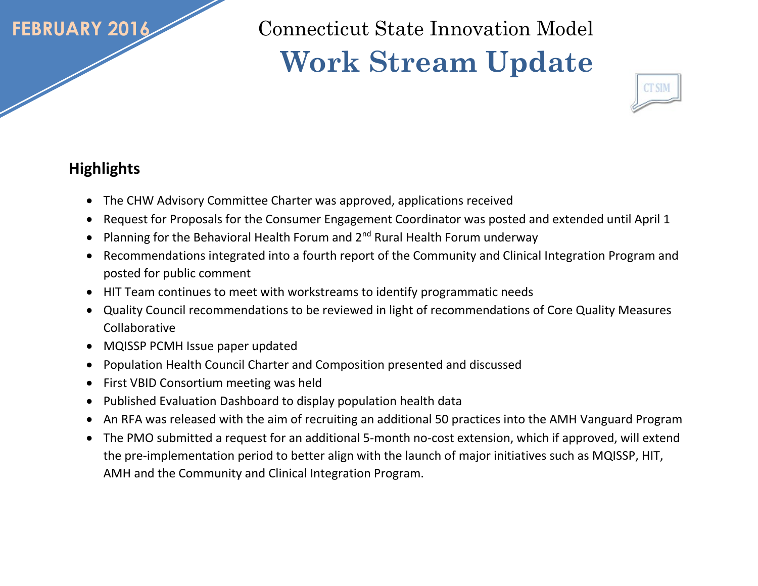## **FEBRUARY 2016**

Connecticut State Innovation Model  **Work Stream Update** 



## **Highlights**

- The CHW Advisory Committee Charter was approved, applications received
- Request for Proposals for the Consumer Engagement Coordinator was posted and extended until April 1
- Planning for the Behavioral Health Forum and  $2^{nd}$  Rural Health Forum underway
- Recommendations integrated into a fourth report of the Community and Clinical Integration Program and posted for public comment
- HIT Team continues to meet with workstreams to identify programmatic needs
- Quality Council recommendations to be reviewed in light of recommendations of Core Quality Measures Collaborative
- MQISSP PCMH Issue paper updated
- Population Health Council Charter and Composition presented and discussed
- First VBID Consortium meeting was held
- Published Evaluation Dashboard to display population health data
- An RFA was released with the aim of recruiting an additional 50 practices into the AMH Vanguard Program
- The PMO submitted a request for an additional 5-month no-cost extension, which if approved, will extend the pre-implementation period to better align with the launch of major initiatives such as MQISSP, HIT, AMH and the Community and Clinical Integration Program.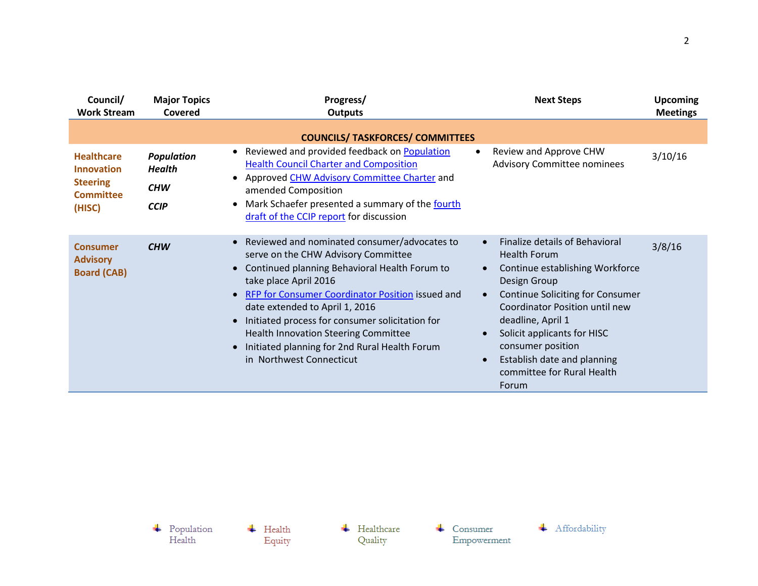| Council/<br><b>Work Stream</b>                                                          | <b>Major Topics</b><br>Covered                                  | Progress/<br><b>Outputs</b>                                                                                                                                                                                                                                                                                                                                                                                                                                                                  | <b>Next Steps</b>                                                                                                                                                                                                                                                                                                                    | <b>Upcoming</b><br><b>Meetings</b> |
|-----------------------------------------------------------------------------------------|-----------------------------------------------------------------|----------------------------------------------------------------------------------------------------------------------------------------------------------------------------------------------------------------------------------------------------------------------------------------------------------------------------------------------------------------------------------------------------------------------------------------------------------------------------------------------|--------------------------------------------------------------------------------------------------------------------------------------------------------------------------------------------------------------------------------------------------------------------------------------------------------------------------------------|------------------------------------|
| <b>Healthcare</b><br><b>Innovation</b><br><b>Steering</b><br><b>Committee</b><br>(HISC) | <b>Population</b><br><b>Health</b><br><b>CHW</b><br><b>CCIP</b> | <b>COUNCILS/ TASKFORCES/ COMMITTEES</b><br>Reviewed and provided feedback on Population<br>$\bullet$<br><b>Health Council Charter and Composition</b><br>Approved CHW Advisory Committee Charter and<br>$\bullet$<br>amended Composition<br>Mark Schaefer presented a summary of the fourth<br>$\bullet$<br>draft of the CCIP report for discussion                                                                                                                                          | Review and Approve CHW<br>Advisory Committee nominees                                                                                                                                                                                                                                                                                | 3/10/16                            |
| <b>Consumer</b><br><b>Advisory</b><br><b>Board (CAB)</b>                                | <b>CHW</b>                                                      | Reviewed and nominated consumer/advocates to<br>$\bullet$<br>serve on the CHW Advisory Committee<br>Continued planning Behavioral Health Forum to<br>$\bullet$<br>take place April 2016<br>RFP for Consumer Coordinator Position issued and<br>$\bullet$<br>date extended to April 1, 2016<br>Initiated process for consumer solicitation for<br>$\bullet$<br>Health Innovation Steering Committee<br>Initiated planning for 2nd Rural Health Forum<br>$\bullet$<br>in Northwest Connecticut | Finalize details of Behavioral<br><b>Health Forum</b><br>Continue establishing Workforce<br>Design Group<br><b>Continue Soliciting for Consumer</b><br>Coordinator Position until new<br>deadline, April 1<br>Solicit applicants for HISC<br>consumer position<br>Establish date and planning<br>committee for Rural Health<br>Forum | 3/8/16                             |

 $\begin{array}{c} \text{\textcolor{red}{\textbf{+}}} & \text{Population} \\ \text{Health} \end{array}$ + Affordability  $\leftarrow$  Healthcare  $\overline{\phantom{a}}$  Health  $\leftarrow$  Consumer Quality Empowerment Equity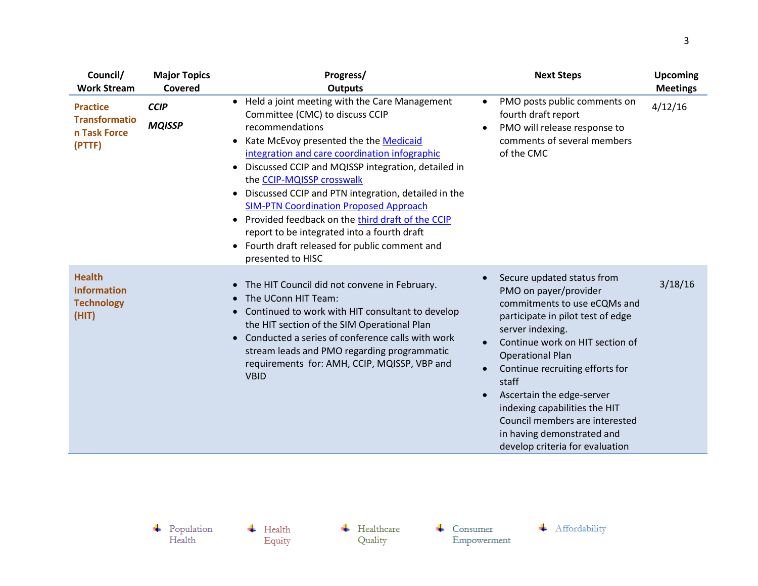| Council/<br><b>Work Stream</b>                                    | <b>Major Topics</b><br>Covered | Progress/<br><b>Outputs</b>                                                                                                                                                                                                                                                                                                                                                                                                                                                                                                                                                                                                                     | <b>Next Steps</b>                                                                                                                                                                                                                                                                                                                                                                                                                                                           | <b>Upcoming</b><br><b>Meetings</b> |
|-------------------------------------------------------------------|--------------------------------|-------------------------------------------------------------------------------------------------------------------------------------------------------------------------------------------------------------------------------------------------------------------------------------------------------------------------------------------------------------------------------------------------------------------------------------------------------------------------------------------------------------------------------------------------------------------------------------------------------------------------------------------------|-----------------------------------------------------------------------------------------------------------------------------------------------------------------------------------------------------------------------------------------------------------------------------------------------------------------------------------------------------------------------------------------------------------------------------------------------------------------------------|------------------------------------|
| <b>Practice</b><br><b>Transformatio</b><br>n Task Force<br>(PTTF) | <b>CCIP</b><br><b>MQISSP</b>   | Held a joint meeting with the Care Management<br>$\bullet$<br>Committee (CMC) to discuss CCIP<br>recommendations<br>Kate McEvoy presented the the Medicaid<br>$\bullet$<br>integration and care coordination infographic<br>Discussed CCIP and MQISSP integration, detailed in<br>$\bullet$<br>the CCIP-MQISSP crosswalk<br>Discussed CCIP and PTN integration, detailed in the<br>$\bullet$<br><b>SIM-PTN Coordination Proposed Approach</b><br>Provided feedback on the third draft of the CCIP<br>$\bullet$<br>report to be integrated into a fourth draft<br>Fourth draft released for public comment and<br>$\bullet$<br>presented to HISC | PMO posts public comments on<br>$\bullet$<br>fourth draft report<br>PMO will release response to<br>$\bullet$<br>comments of several members<br>of the CMC                                                                                                                                                                                                                                                                                                                  | 4/12/16                            |
| <b>Health</b><br><b>Information</b><br><b>Technology</b><br>(HIT) |                                | The HIT Council did not convene in February.<br>$\bullet$<br>The UConn HIT Team:<br>Continued to work with HIT consultant to develop<br>the HIT section of the SIM Operational Plan<br>Conducted a series of conference calls with work<br>stream leads and PMO regarding programmatic<br>requirements for: AMH, CCIP, MQISSP, VBP and<br><b>VBID</b>                                                                                                                                                                                                                                                                                           | Secure updated status from<br>$\bullet$<br>PMO on payer/provider<br>commitments to use eCQMs and<br>participate in pilot test of edge<br>server indexing.<br>Continue work on HIT section of<br>$\bullet$<br><b>Operational Plan</b><br>Continue recruiting efforts for<br>$\bullet$<br>staff<br>Ascertain the edge-server<br>$\bullet$<br>indexing capabilities the HIT<br>Council members are interested<br>in having demonstrated and<br>develop criteria for evaluation | 3/18/16                            |

 $\leftarrow$  Healthcare Quality

 $\leftarrow$  Consumer Empowerment

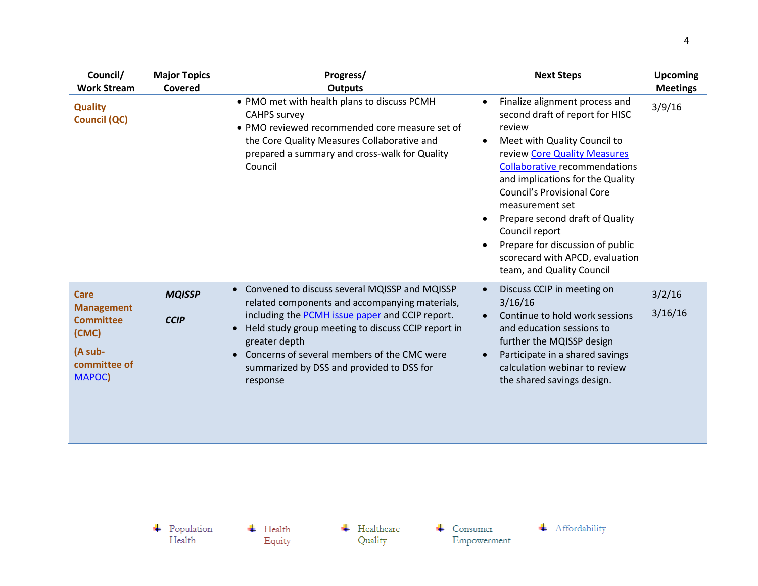| <b>Major Topics</b><br>Covered | Progress/<br><b>Outputs</b>                                                                                                                                                                                                                                                                                                                                                     | <b>Next Steps</b>                                                                                                                                                                                                                                                                                                                                                                                                                                                  | <b>Upcoming</b><br><b>Meetings</b> |
|--------------------------------|---------------------------------------------------------------------------------------------------------------------------------------------------------------------------------------------------------------------------------------------------------------------------------------------------------------------------------------------------------------------------------|--------------------------------------------------------------------------------------------------------------------------------------------------------------------------------------------------------------------------------------------------------------------------------------------------------------------------------------------------------------------------------------------------------------------------------------------------------------------|------------------------------------|
|                                | • PMO met with health plans to discuss PCMH<br><b>CAHPS survey</b><br>• PMO reviewed recommended core measure set of<br>the Core Quality Measures Collaborative and<br>prepared a summary and cross-walk for Quality<br>Council                                                                                                                                                 | Finalize alignment process and<br>$\bullet$<br>second draft of report for HISC<br>review<br>Meet with Quality Council to<br>$\bullet$<br>review Core Quality Measures<br><b>Collaborative recommendations</b><br>and implications for the Quality<br><b>Council's Provisional Core</b><br>measurement set<br>Prepare second draft of Quality<br>Council report<br>Prepare for discussion of public<br>scorecard with APCD, evaluation<br>team, and Quality Council | 3/9/16                             |
| <b>MQISSP</b><br><b>CCIP</b>   | Convened to discuss several MQISSP and MQISSP<br>$\bullet$<br>related components and accompanying materials,<br>including the <b>PCMH</b> issue paper and CCIP report.<br>Held study group meeting to discuss CCIP report in<br>$\bullet$<br>greater depth<br>Concerns of several members of the CMC were<br>$\bullet$<br>summarized by DSS and provided to DSS for<br>response | Discuss CCIP in meeting on<br>$\bullet$<br>3/16/16<br>Continue to hold work sessions<br>$\bullet$<br>and education sessions to<br>further the MQISSP design<br>Participate in a shared savings<br>$\bullet$<br>calculation webinar to review<br>the shared savings design.                                                                                                                                                                                         | 3/2/16<br>3/16/16                  |
|                                |                                                                                                                                                                                                                                                                                                                                                                                 |                                                                                                                                                                                                                                                                                                                                                                                                                                                                    |                                    |

 $\overline{\phantom{a}}$  Health Equity  $\leftarrow$  Healthcare Quality

 $\leftarrow$  Consumer  ${\bf Empowerment}$ 



 $\begin{array}{c} \text{\textcolor{red}{\textbf{+}}} & \text{Population} \\ \text{Health} \end{array}$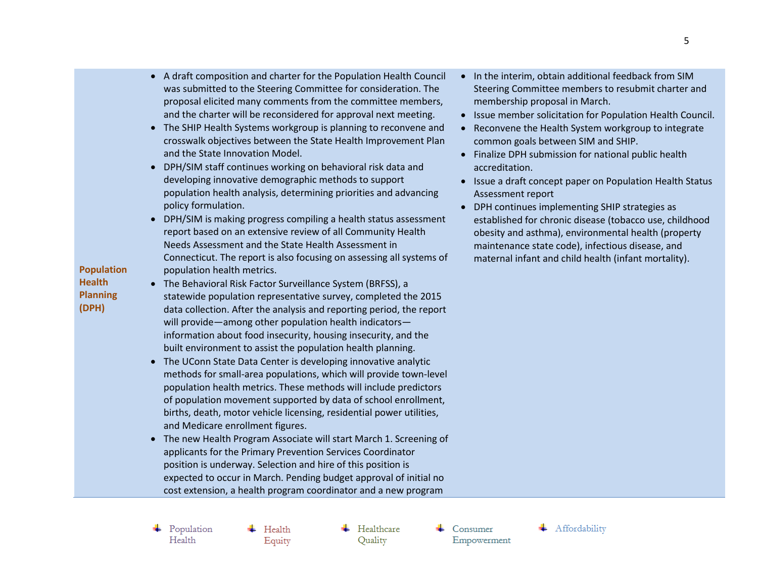$\ddot{+}$  Health Equity

 $\leftarrow$  Healthcare Quality

 $\leftarrow$  Consumer Empowerment

**Population Health Planning (DPH)**

- A draft composition and charter for the Population Health Council was submitted to the Steering Committee for consideration. The proposal elicited many comments from the committee members, and the charter will be reconsidered for approval next meeting.
- The SHIP Health Systems workgroup is planning to reconvene and crosswalk objectives between the State Health Improvement Plan and the State Innovation Model.
- DPH/SIM staff continues working on behavioral risk data and developing innovative demographic methods to support population health analysis, determining priorities and advancing policy formulation.
- DPH/SIM is making progress compiling a health status assessment report based on an extensive review of all Community Health Needs Assessment and the State Health Assessment in Connecticut. The report is also focusing on assessing all systems of population health metrics.
- The Behavioral Risk Factor Surveillance System (BRFSS), a statewide population representative survey, completed the 2015 data collection. After the analysis and reporting period, the report will provide—among other population health indicators information about food insecurity, housing insecurity, and the built environment to assist the population health planning.
- The UConn State Data Center is developing innovative analytic methods for small-area populations, which will provide town-level population health metrics. These methods will include predictors of population movement supported by data of school enrollment, births, death, motor vehicle licensing, residential power utilities, and Medicare enrollment figures.
- The new Health Program Associate will start March 1. Screening of applicants for the Primary Prevention Services Coordinator position is underway. Selection and hire of this position is expected to occur in March. Pending budget approval of initial no cost extension, a health program coordinator and a new program
- In the interim, obtain additional feedback from SIM Steering Committee members to resubmit charter and membership proposal in March.
- Issue member solicitation for Population Health Council.
- Reconvene the Health System workgroup to integrate common goals between SIM and SHIP.
- Finalize DPH submission for national public health accreditation.
- Issue a draft concept paper on Population Health Status Assessment report
- DPH continues implementing SHIP strategies as established for chronic disease (tobacco use, childhood obesity and asthma), environmental health (property maintenance state code), infectious disease, and maternal infant and child health (infant mortality).

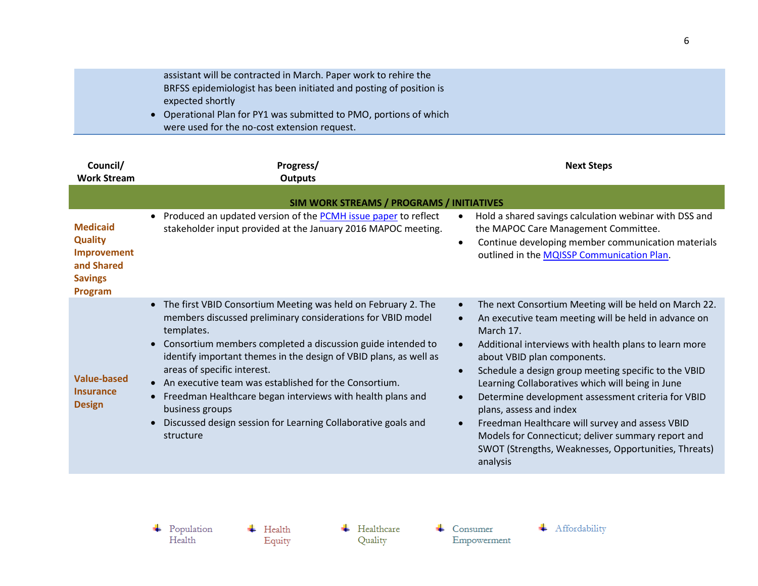| assistant will be contracted in March. Paper work to rehire the    |  |
|--------------------------------------------------------------------|--|
| BRFSS epidemiologist has been initiated and posting of position is |  |
| expected shortly                                                   |  |
| • Operational Plan for PY1 was submitted to PMO, portions of which |  |
| were used for the no-cost extension request.                       |  |

| Council/<br><b>Work Stream</b>                                                                     | Progress/<br><b>Outputs</b>                                                                                                                                                                                                                                                                                                                                                                                                                                                                                                                                                  | <b>Next Steps</b>                                                                                                                                                                                                                                                                                                                                                                                                                                                                                                                                                                                                                   |  |
|----------------------------------------------------------------------------------------------------|------------------------------------------------------------------------------------------------------------------------------------------------------------------------------------------------------------------------------------------------------------------------------------------------------------------------------------------------------------------------------------------------------------------------------------------------------------------------------------------------------------------------------------------------------------------------------|-------------------------------------------------------------------------------------------------------------------------------------------------------------------------------------------------------------------------------------------------------------------------------------------------------------------------------------------------------------------------------------------------------------------------------------------------------------------------------------------------------------------------------------------------------------------------------------------------------------------------------------|--|
|                                                                                                    | SIM WORK STREAMS / PROGRAMS / INITIATIVES                                                                                                                                                                                                                                                                                                                                                                                                                                                                                                                                    |                                                                                                                                                                                                                                                                                                                                                                                                                                                                                                                                                                                                                                     |  |
| <b>Medicaid</b><br><b>Quality</b><br>Improvement<br>and Shared<br><b>Savings</b><br><b>Program</b> | Produced an updated version of the <b>PCMH</b> issue paper to reflect<br>$\bullet$<br>stakeholder input provided at the January 2016 MAPOC meeting.                                                                                                                                                                                                                                                                                                                                                                                                                          | Hold a shared savings calculation webinar with DSS and<br>the MAPOC Care Management Committee.<br>Continue developing member communication materials<br>$\bullet$<br>outlined in the MQISSP Communication Plan.                                                                                                                                                                                                                                                                                                                                                                                                                     |  |
| <b>Value-based</b><br><b>Insurance</b><br><b>Design</b>                                            | The first VBID Consortium Meeting was held on February 2. The<br>$\bullet$<br>members discussed preliminary considerations for VBID model<br>templates.<br>Consortium members completed a discussion guide intended to<br>identify important themes in the design of VBID plans, as well as<br>areas of specific interest.<br>An executive team was established for the Consortium.<br>$\bullet$<br>Freedman Healthcare began interviews with health plans and<br>$\bullet$<br>business groups<br>Discussed design session for Learning Collaborative goals and<br>structure | The next Consortium Meeting will be held on March 22.<br>An executive team meeting will be held in advance on<br>$\bullet$<br>March 17.<br>Additional interviews with health plans to learn more<br>about VBID plan components.<br>Schedule a design group meeting specific to the VBID<br>$\bullet$<br>Learning Collaboratives which will being in June<br>Determine development assessment criteria for VBID<br>plans, assess and index<br>Freedman Healthcare will survey and assess VBID<br>$\bullet$<br>Models for Connecticut; deliver summary report and<br>SWOT (Strengths, Weaknesses, Opportunities, Threats)<br>analysis |  |

 $\overline{\phantom{a}}$  Health Equity  $\leftarrow$  Healthcare Quality

 $\leftarrow$  Consumer Empowerment

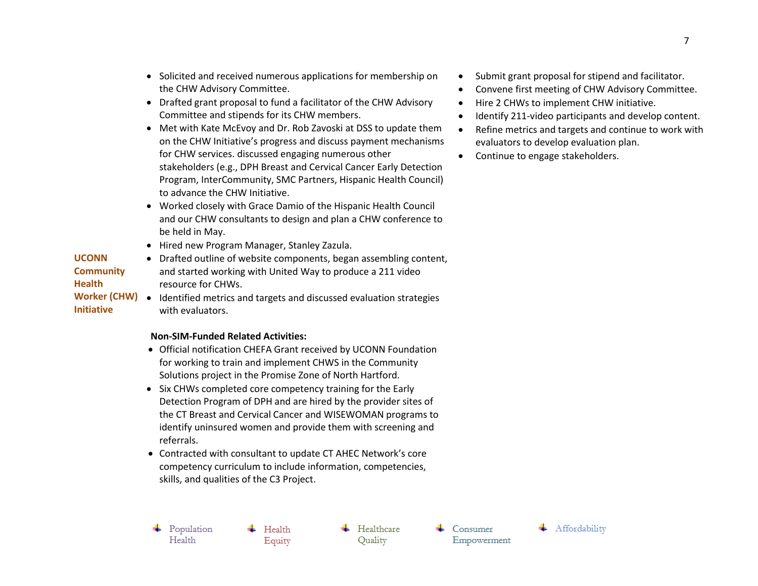- Solicited and received numerous applications for membership on the CHW Advisory Committee.
- Drafted grant proposal to fund a facilitator of the CHW Advisory Committee and stipends for its CHW members.
- Met with Kate McEvoy and Dr. Rob Zavoski at DSS to update them on the CHW Initiative's progress and discuss payment mechanisms for CHW services. discussed engaging numerous other stakeholders (e.g., DPH Breast and Cervical Cancer Early Detection Program, InterCommunity, SMC Partners, Hispanic Health Council) to advance the CHW Initiative.
- Worked closely with Grace Damio of the Hispanic Health Council and our CHW consultants to design and plan a CHW conference to be held in May.
- Hired new Program Manager, Stanley Zazula.

## **UCONN Community Health**  Drafted outline of website components, began assembling content,

**Initiative**

Worker (CHW) • Identified metrics and targets and discussed evaluation strategies resource for CHWs. with evaluators.

and started working with United Way to produce a 211 video

## **Non-SIM-Funded Related Activities:**

- Official notification CHEFA Grant received by UCONN Foundation for working to train and implement CHWS in the Community Solutions project in the Promise Zone of North Hartford.
- Six CHWs completed core competency training for the Early Detection Program of DPH and are hired by the provider sites of the CT Breast and Cervical Cancer and WISEWOMAN programs to identify uninsured women and provide them with screening and referrals.
- Contracted with consultant to update CT AHEC Network's core competency curriculum to include information, competencies, skills, and qualities of the C3 Project.
- $\leftarrow$  Population Health

 $\blacksquare$  Health Equity

 $\leftarrow$  Healthcare Quality

 $\leftarrow$  Consumer Empowerment



- Convene first meeting of CHW Advisory Committee.
- Hire 2 CHWs to implement CHW initiative.
- Identify 211-video participants and develop content.
- Refine metrics and targets and continue to work with evaluators to develop evaluation plan.
- Continue to engage stakeholders.

₩ Affordability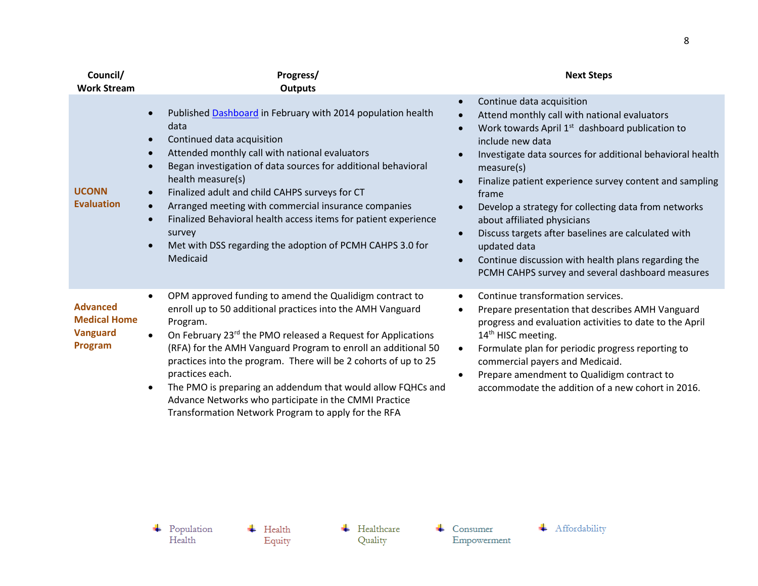| Council/<br><b>Work Stream</b>                                       | Progress/<br><b>Outputs</b>                                                                                                                                                                                                                                                                                                                                                                                                                                                                                                                                                    | <b>Next Steps</b>                                                                                                                                                                                                                                                                                                                                                                                                                                                                                                                                                                                                                                                                            |
|----------------------------------------------------------------------|--------------------------------------------------------------------------------------------------------------------------------------------------------------------------------------------------------------------------------------------------------------------------------------------------------------------------------------------------------------------------------------------------------------------------------------------------------------------------------------------------------------------------------------------------------------------------------|----------------------------------------------------------------------------------------------------------------------------------------------------------------------------------------------------------------------------------------------------------------------------------------------------------------------------------------------------------------------------------------------------------------------------------------------------------------------------------------------------------------------------------------------------------------------------------------------------------------------------------------------------------------------------------------------|
| <b>UCONN</b><br><b>Evaluation</b>                                    | Published Dashboard in February with 2014 population health<br>data<br>Continued data acquisition<br>Attended monthly call with national evaluators<br>Began investigation of data sources for additional behavioral<br>health measure(s)<br>Finalized adult and child CAHPS surveys for CT<br>$\bullet$<br>Arranged meeting with commercial insurance companies<br>$\bullet$<br>Finalized Behavioral health access items for patient experience<br>$\bullet$<br>survey<br>Met with DSS regarding the adoption of PCMH CAHPS 3.0 for<br>Medicaid                               | Continue data acquisition<br>$\bullet$<br>Attend monthly call with national evaluators<br>$\bullet$<br>Work towards April 1 <sup>st</sup> dashboard publication to<br>$\bullet$<br>include new data<br>Investigate data sources for additional behavioral health<br>$\bullet$<br>measure(s)<br>Finalize patient experience survey content and sampling<br>$\bullet$<br>frame<br>Develop a strategy for collecting data from networks<br>$\bullet$<br>about affiliated physicians<br>Discuss targets after baselines are calculated with<br>$\bullet$<br>updated data<br>Continue discussion with health plans regarding the<br>$\bullet$<br>PCMH CAHPS survey and several dashboard measures |
| <b>Advanced</b><br><b>Medical Home</b><br><b>Vanguard</b><br>Program | OPM approved funding to amend the Qualidigm contract to<br>$\bullet$<br>enroll up to 50 additional practices into the AMH Vanguard<br>Program.<br>On February 23rd the PMO released a Request for Applications<br>$\bullet$<br>(RFA) for the AMH Vanguard Program to enroll an additional 50<br>practices into the program. There will be 2 cohorts of up to 25<br>practices each.<br>The PMO is preparing an addendum that would allow FQHCs and<br>$\bullet$<br>Advance Networks who participate in the CMMI Practice<br>Transformation Network Program to apply for the RFA | Continue transformation services.<br>$\bullet$<br>Prepare presentation that describes AMH Vanguard<br>$\bullet$<br>progress and evaluation activities to date to the April<br>14 <sup>th</sup> HISC meeting.<br>Formulate plan for periodic progress reporting to<br>$\bullet$<br>commercial payers and Medicaid.<br>Prepare amendment to Qualidigm contract to<br>$\bullet$<br>accommodate the addition of a new cohort in 2016.                                                                                                                                                                                                                                                            |

 $\overline{\phantom{a}}$  Health Equity  $\leftarrow$  Healthcare Quality

 $\leftarrow$  Consumer Empowerment

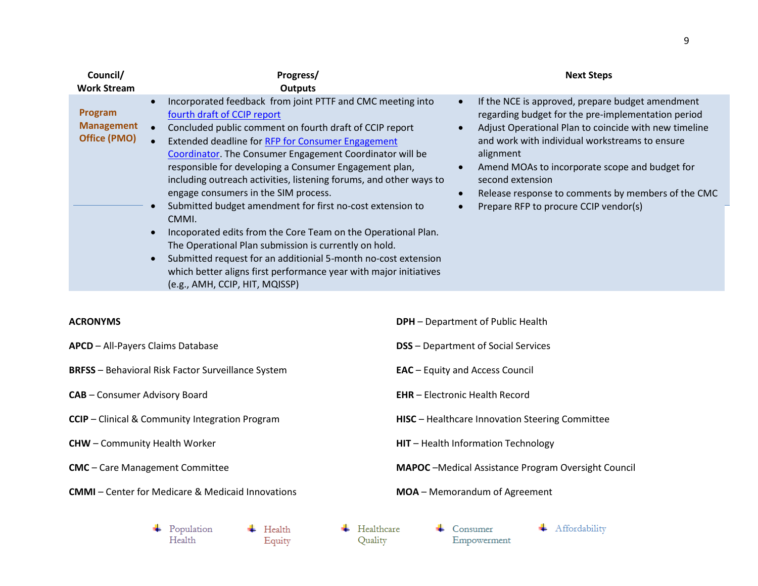| Council/<br><b>Work Stream</b>               | Progress/<br><b>Outputs</b>                                                                                                                                                                                                                                                                                                                                                                                                                                                                                                                                                                                                                                                                                                                                                                                                                             | <b>Next Steps</b>                                                                                                                                                                                                                                                                                                                                                                                                                                       |
|----------------------------------------------|---------------------------------------------------------------------------------------------------------------------------------------------------------------------------------------------------------------------------------------------------------------------------------------------------------------------------------------------------------------------------------------------------------------------------------------------------------------------------------------------------------------------------------------------------------------------------------------------------------------------------------------------------------------------------------------------------------------------------------------------------------------------------------------------------------------------------------------------------------|---------------------------------------------------------------------------------------------------------------------------------------------------------------------------------------------------------------------------------------------------------------------------------------------------------------------------------------------------------------------------------------------------------------------------------------------------------|
| Program<br><b>Management</b><br>Office (PMO) | Incorporated feedback from joint PTTF and CMC meeting into<br>$\bullet$<br>fourth draft of CCIP report<br>Concluded public comment on fourth draft of CCIP report<br>Extended deadline for RFP for Consumer Engagement<br><b>Coordinator.</b> The Consumer Engagement Coordinator will be<br>responsible for developing a Consumer Engagement plan,<br>including outreach activities, listening forums, and other ways to<br>engage consumers in the SIM process.<br>Submitted budget amendment for first no-cost extension to<br>CMMI.<br>Incoporated edits from the Core Team on the Operational Plan.<br>The Operational Plan submission is currently on hold.<br>Submitted request for an additionial 5-month no-cost extension<br>$\bullet$<br>which better aligns first performance year with major initiatives<br>(e.g., AMH, CCIP, HIT, MQISSP) | If the NCE is approved, prepare budget amendment<br>$\bullet$<br>regarding budget for the pre-implementation period<br>Adjust Operational Plan to coincide with new timeline<br>$\bullet$<br>and work with individual workstreams to ensure<br>alignment<br>Amend MOAs to incorporate scope and budget for<br>$\bullet$<br>second extension<br>Release response to comments by members of the CMC<br>$\bullet$<br>Prepare RFP to procure CCIP vendor(s) |
| ACRONYMS                                     |                                                                                                                                                                                                                                                                                                                                                                                                                                                                                                                                                                                                                                                                                                                                                                                                                                                         | <b>DPH</b> – Department of Public Health                                                                                                                                                                                                                                                                                                                                                                                                                |

- **APCD** All-Payers Claims Database
- **BRFSS** Behavioral Risk Factor Surveillance System
- **CAB** Consumer Advisory Board
- **CCIP** Clinical & Community Integration Program
- **CHW** Community Health Worker
- **CMC** Care Management Committee
- **CMMI** Center for Medicare & Medicaid Innovations
- **DSS** Department of Social Services
- **EAC** Equity and Access Council
- **EHR** Electronic Health Record
- **HISC** Healthcare Innovation Steering Committee
- **HIT** Health Information Technology
- **MAPOC** –Medical Assistance Program Oversight Council
- **MOA** Memorandum of Agreement

 $\leftarrow$  Population  $\overline{\phantom{a}}$  Health Health Equity

 $\leftarrow$  Healthcare Quality

 $\leftarrow$  Consumer Empowerment + Affordability